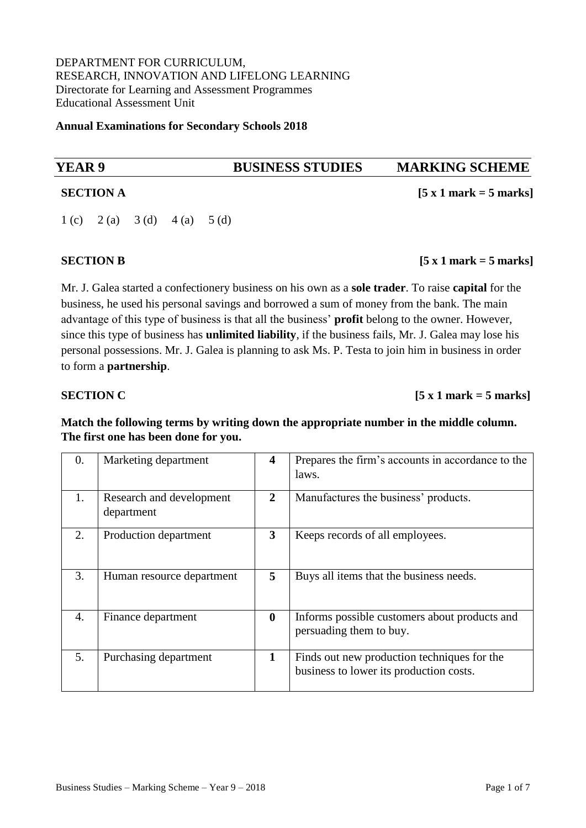DEPARTMENT FOR CURRICULUM, RESEARCH, INNOVATION AND LIFELONG LEARNING Directorate for Learning and Assessment Programmes Educational Assessment Unit

**Annual Examinations for Secondary Schools 2018** 

# **YEAR 9 BUSINESS STUDIES MARKING SCHEME SECTION A** [5 x 1 mark = 5 marks] 1 (c) 2 (a) 3 (d) 4 (a) 5 (d)

### **SECTION B** [5 x 1 mark = 5 marks]

Mr. J. Galea started a confectionery business on his own as a **sole trader**. To raise **capital** for the business, he used his personal savings and borrowed a sum of money from the bank. The main advantage of this type of business is that all the business' **profit** belong to the owner. However, since this type of business has **unlimited liability**, if the business fails, Mr. J. Galea may lose his personal possessions. Mr. J. Galea is planning to ask Ms. P. Testa to join him in business in order to form a **partnership**.

### **SECTION C** [5 x 1 mark = 5 marks]

**Match the following terms by writing down the appropriate number in the middle column. The first one has been done for you.**

| 0.               | Marketing department                   | $\overline{\mathbf{4}}$ | Prepares the firm's accounts in accordance to the<br>laws.                             |
|------------------|----------------------------------------|-------------------------|----------------------------------------------------------------------------------------|
| 1.               | Research and development<br>department | $\mathbf{2}$            | Manufactures the business' products.                                                   |
| 2.               | Production department                  | 3                       | Keeps records of all employees.                                                        |
| 3.               | Human resource department              | 5                       | Buys all items that the business needs.                                                |
| $\overline{4}$ . | Finance department                     | $\bf{0}$                | Informs possible customers about products and<br>persuading them to buy.               |
| 5.               | Purchasing department                  | $\mathbf{1}$            | Finds out new production techniques for the<br>business to lower its production costs. |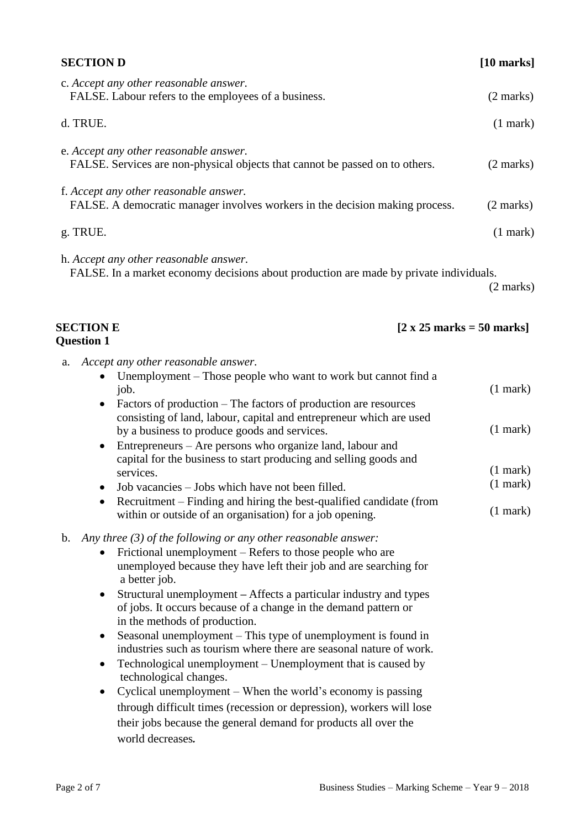| <b>SECTION D</b>                                                                                                                                                                                                                                                                                                                                                                                                                                                                                                                                                                                                                                                                                                                                                                                                                                                                                             | $[10$ marks]                                                                   |
|--------------------------------------------------------------------------------------------------------------------------------------------------------------------------------------------------------------------------------------------------------------------------------------------------------------------------------------------------------------------------------------------------------------------------------------------------------------------------------------------------------------------------------------------------------------------------------------------------------------------------------------------------------------------------------------------------------------------------------------------------------------------------------------------------------------------------------------------------------------------------------------------------------------|--------------------------------------------------------------------------------|
| c. Accept any other reasonable answer.<br>FALSE. Labour refers to the employees of a business.                                                                                                                                                                                                                                                                                                                                                                                                                                                                                                                                                                                                                                                                                                                                                                                                               | $(2 \text{ marks})$                                                            |
| d. TRUE.                                                                                                                                                                                                                                                                                                                                                                                                                                                                                                                                                                                                                                                                                                                                                                                                                                                                                                     | $(1$ mark $)$                                                                  |
| e. Accept any other reasonable answer.<br>FALSE. Services are non-physical objects that cannot be passed on to others.                                                                                                                                                                                                                                                                                                                                                                                                                                                                                                                                                                                                                                                                                                                                                                                       | $(2 \text{ marks})$                                                            |
| f. Accept any other reasonable answer.<br>FALSE. A democratic manager involves workers in the decision making process.                                                                                                                                                                                                                                                                                                                                                                                                                                                                                                                                                                                                                                                                                                                                                                                       | $(2 \text{ marks})$                                                            |
| g. TRUE.                                                                                                                                                                                                                                                                                                                                                                                                                                                                                                                                                                                                                                                                                                                                                                                                                                                                                                     | $(1$ mark)                                                                     |
| h. Accept any other reasonable answer.<br>FALSE. In a market economy decisions about production are made by private individuals.                                                                                                                                                                                                                                                                                                                                                                                                                                                                                                                                                                                                                                                                                                                                                                             | $(2 \text{ marks})$                                                            |
| <b>SECTION E</b><br>$[2 \times 25 \text{ marks} = 50 \text{ marks}]$<br><b>Question 1</b>                                                                                                                                                                                                                                                                                                                                                                                                                                                                                                                                                                                                                                                                                                                                                                                                                    |                                                                                |
| Accept any other reasonable answer.<br>a.<br>Unemployment - Those people who want to work but cannot find a<br>job.<br>Factors of production – The factors of production are resources<br>$\bullet$<br>consisting of land, labour, capital and entrepreneur which are used<br>by a business to produce goods and services.<br>Entrepreneurs - Are persons who organize land, labour and<br>$\bullet$<br>capital for the business to start producing and selling goods and<br>services.<br>Job vacancies – Jobs which have not been filled.<br>Recruitment - Finding and hiring the best-qualified candidate (from<br>within or outside of an organisation) for a job opening.                                                                                                                                                                                                                                | $(1$ mark $)$<br>$(1$ mark $)$<br>$(1$ mark $)$<br>$(1$ mark $)$<br>$(1$ mark) |
| Any three $(3)$ of the following or any other reasonable answer:<br>$\mathbf{b}$ .<br>Frictional unemployment – Refers to those people who are<br>unemployed because they have left their job and are searching for<br>a better job.<br>Structural unemployment – Affects a particular industry and types<br>$\bullet$<br>of jobs. It occurs because of a change in the demand pattern or<br>in the methods of production.<br>Seasonal unemployment – This type of unemployment is found in<br>$\bullet$<br>industries such as tourism where there are seasonal nature of work.<br>Technological unemployment – Unemployment that is caused by<br>$\bullet$<br>technological changes.<br>Cyclical unemployment – When the world's economy is passing<br>$\bullet$<br>through difficult times (recession or depression), workers will lose<br>their jobs because the general demand for products all over the |                                                                                |

world decreases*.*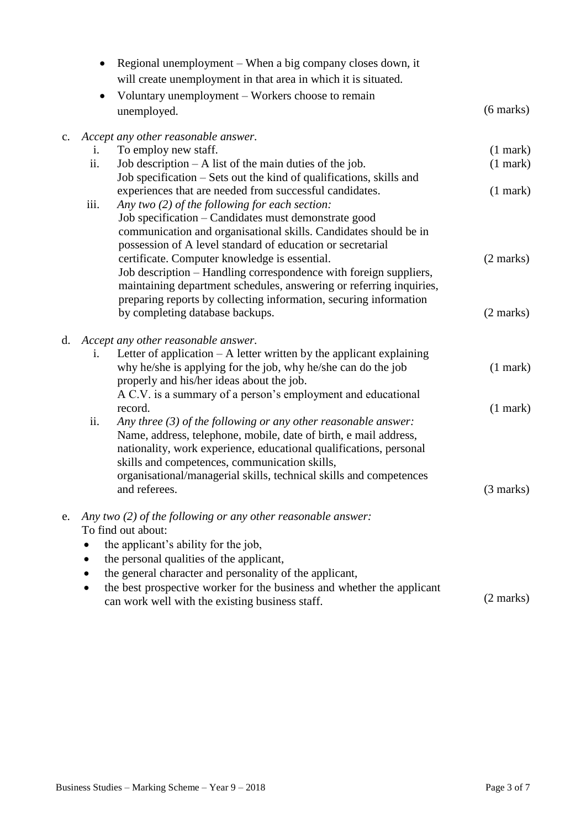|    | Regional unemployment – When a big company closes down, it<br>$\bullet$                              |                     |
|----|------------------------------------------------------------------------------------------------------|---------------------|
|    | will create unemployment in that area in which it is situated.                                       |                     |
|    | Voluntary unemployment – Workers choose to remain<br>$\bullet$                                       |                     |
|    | unemployed.                                                                                          | $(6 \text{ marks})$ |
| c. | Accept any other reasonable answer.                                                                  |                     |
|    | To employ new staff.<br>i.                                                                           | $(1$ mark $)$       |
|    | ii.<br>Job description $- A$ list of the main duties of the job.                                     | $(1$ mark $)$       |
|    | Job specification – Sets out the kind of qualifications, skills and                                  |                     |
|    | experiences that are needed from successful candidates.                                              | $(1$ mark $)$       |
|    | iii.<br>Any two (2) of the following for each section:                                               |                     |
|    | Job specification – Candidates must demonstrate good                                                 |                     |
|    | communication and organisational skills. Candidates should be in                                     |                     |
|    | possession of A level standard of education or secretarial                                           |                     |
|    | certificate. Computer knowledge is essential.                                                        | $(2 \text{ marks})$ |
|    | Job description – Handling correspondence with foreign suppliers,                                    |                     |
|    | maintaining department schedules, answering or referring inquiries,                                  |                     |
|    | preparing reports by collecting information, securing information<br>by completing database backups. | $(2 \text{ marks})$ |
|    |                                                                                                      |                     |
| d. | Accept any other reasonable answer.                                                                  |                     |
|    | Letter of application $- A$ letter written by the applicant explaining<br>i.                         |                     |
|    | why he/she is applying for the job, why he/she can do the job                                        | $(1$ mark $)$       |
|    | properly and his/her ideas about the job.                                                            |                     |
|    | A C.V. is a summary of a person's employment and educational                                         |                     |
|    | record.                                                                                              | $(1$ mark $)$       |
|    | ii.<br>Any three $(3)$ of the following or any other reasonable answer:                              |                     |
|    | Name, address, telephone, mobile, date of birth, e mail address,                                     |                     |
|    | nationality, work experience, educational qualifications, personal                                   |                     |
|    | skills and competences, communication skills,                                                        |                     |
|    | organisational/managerial skills, technical skills and competences<br>and referees.                  | $(3 \text{ marks})$ |
|    |                                                                                                      |                     |
| e. | Any two $(2)$ of the following or any other reasonable answer:                                       |                     |
|    | To find out about:                                                                                   |                     |
|    | the applicant's ability for the job,                                                                 |                     |
|    | the personal qualities of the applicant,                                                             |                     |
|    | the general character and personality of the applicant,                                              |                     |
|    | the best prospective worker for the business and whether the applicant                               |                     |
|    | can work well with the existing business staff.                                                      | $(2 \text{ marks})$ |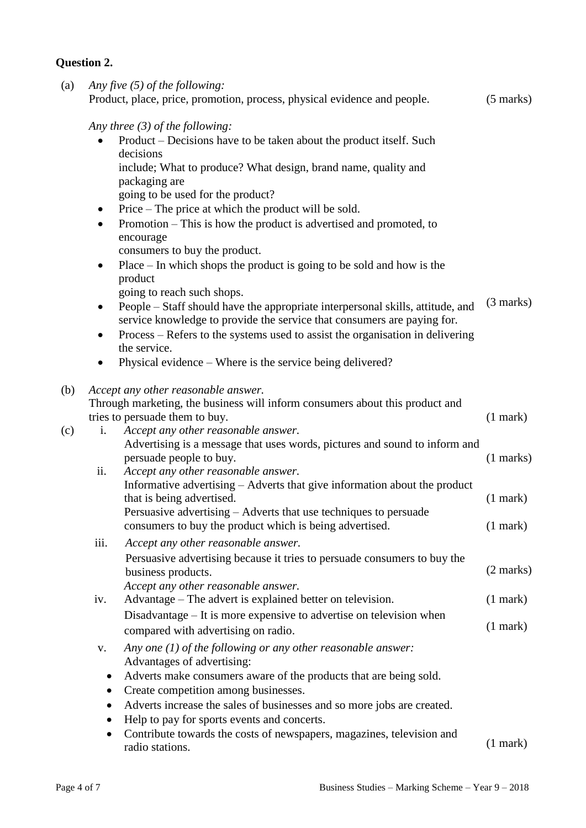# **Question 2.**

| (a) |           | Any five $(5)$ of the following:<br>Product, place, price, promotion, process, physical evidence and people.                                                                                                                               | $(5 \text{ marks})$ |
|-----|-----------|--------------------------------------------------------------------------------------------------------------------------------------------------------------------------------------------------------------------------------------------|---------------------|
|     |           | Any three $(3)$ of the following:                                                                                                                                                                                                          |                     |
|     |           | Product - Decisions have to be taken about the product itself. Such<br>decisions                                                                                                                                                           |                     |
|     |           | include; What to produce? What design, brand name, quality and<br>packaging are                                                                                                                                                            |                     |
|     |           | going to be used for the product?                                                                                                                                                                                                          |                     |
|     | $\bullet$ | Price – The price at which the product will be sold.                                                                                                                                                                                       |                     |
|     | $\bullet$ | Promotion - This is how the product is advertised and promoted, to<br>encourage                                                                                                                                                            |                     |
|     |           | consumers to buy the product.                                                                                                                                                                                                              |                     |
|     | $\bullet$ | $Place - In which shops the product is going to be sold and how is the$<br>product                                                                                                                                                         |                     |
|     |           | going to reach such shops.                                                                                                                                                                                                                 | $(3 \text{ marks})$ |
|     | $\bullet$ | People – Staff should have the appropriate interpersonal skills, attitude, and<br>service knowledge to provide the service that consumers are paying for.<br>Process – Refers to the systems used to assist the organisation in delivering |                     |
|     | $\bullet$ | the service.                                                                                                                                                                                                                               |                     |
|     | ٠         | Physical evidence – Where is the service being delivered?                                                                                                                                                                                  |                     |
| (b) |           | Accept any other reasonable answer.                                                                                                                                                                                                        |                     |
|     |           | Through marketing, the business will inform consumers about this product and                                                                                                                                                               |                     |
|     |           | tries to persuade them to buy.                                                                                                                                                                                                             | $(1$ mark $)$       |
| (c) | i.        | Accept any other reasonable answer.                                                                                                                                                                                                        |                     |
|     |           | Advertising is a message that uses words, pictures and sound to inform and<br>persuade people to buy.                                                                                                                                      | $(1$ marks)         |
|     | ii.       | Accept any other reasonable answer.                                                                                                                                                                                                        |                     |
|     |           | Informative advertising - Adverts that give information about the product<br>that is being advertised.                                                                                                                                     | $(1$ mark)          |
|     |           | Persuasive advertising - Adverts that use techniques to persuade                                                                                                                                                                           |                     |
|     |           | consumers to buy the product which is being advertised.                                                                                                                                                                                    | $(1$ mark $)$       |
|     | iii.      | Accept any other reasonable answer.                                                                                                                                                                                                        |                     |
|     |           | Persuasive advertising because it tries to persuade consumers to buy the<br>business products.<br>Accept any other reasonable answer.                                                                                                      | $(2 \text{ marks})$ |
|     | iv.       | Advantage – The advert is explained better on television.                                                                                                                                                                                  | $(1$ mark)          |
|     |           | Disadvantage – It is more expensive to advertise on television when                                                                                                                                                                        |                     |
|     |           | compared with advertising on radio.                                                                                                                                                                                                        | $(1$ mark)          |
|     | V.        | Any one $(1)$ of the following or any other reasonable answer:<br>Advantages of advertising:                                                                                                                                               |                     |
|     |           | Adverts make consumers aware of the products that are being sold.                                                                                                                                                                          |                     |
|     |           | Create competition among businesses.                                                                                                                                                                                                       |                     |
|     | $\bullet$ | Adverts increase the sales of businesses and so more jobs are created.                                                                                                                                                                     |                     |
|     | ٠         | Help to pay for sports events and concerts.                                                                                                                                                                                                |                     |
|     | $\bullet$ | Contribute towards the costs of newspapers, magazines, television and<br>radio stations.                                                                                                                                                   | $(1$ mark $)$       |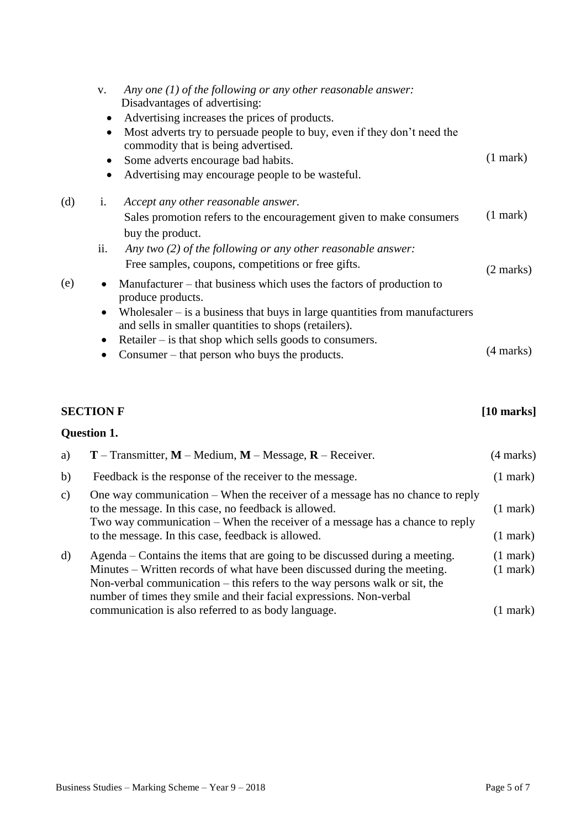|     | V.<br>$\bullet$<br>$\bullet$        | Any one $(1)$ of the following or any other reasonable answer:<br>Disadvantages of advertising:<br>Advertising increases the prices of products.<br>Most adverts try to persuade people to buy, even if they don't need the<br>commodity that is being advertised.<br>Some adverts encourage bad habits.<br>Advertising may encourage people to be wasteful. | $(1$ mark) |
|-----|-------------------------------------|--------------------------------------------------------------------------------------------------------------------------------------------------------------------------------------------------------------------------------------------------------------------------------------------------------------------------------------------------------------|------------|
| (d) | 1.                                  | Accept any other reasonable answer.<br>Sales promotion refers to the encouragement given to make consumers<br>buy the product.                                                                                                                                                                                                                               | $(1$ mark) |
|     | ii.                                 | Any two $(2)$ of the following or any other reasonable answer:<br>Free samples, coupons, competitions or free gifts.                                                                                                                                                                                                                                         | (2 marks)  |
| (e) | $\bullet$<br>$\bullet$<br>$\bullet$ | Manufacturer – that business which uses the factors of production to<br>produce products.<br>Wholesaler $-$ is a business that buys in large quantities from manufacturers<br>and sells in smaller quantities to shops (retailers).<br>Retailer – is that shop which sells goods to consumers.                                                               |            |
|     |                                     | Consumer – that person who buys the products.                                                                                                                                                                                                                                                                                                                | (4 marks)  |

# **SECTION F** [10 marks]

# **Question 1.**

| a)            | <b>T</b> – Transmitter, $M$ – Medium, $M$ – Message, $R$ – Receiver.                                                                                                                                                                                                                                                                                                    | (4 marks)                            |
|---------------|-------------------------------------------------------------------------------------------------------------------------------------------------------------------------------------------------------------------------------------------------------------------------------------------------------------------------------------------------------------------------|--------------------------------------|
| b)            | Feedback is the response of the receiver to the message.                                                                                                                                                                                                                                                                                                                | $(1$ mark $)$                        |
| $\mathbf{c})$ | One way communication – When the receiver of a message has no chance to reply<br>to the message. In this case, no feedback is allowed.<br>Two way communication – When the receiver of a message has a chance to reply<br>to the message. In this case, feedback is allowed.                                                                                            | $(1$ mark $)$<br>$(1$ mark $)$       |
| d)            | Agenda – Contains the items that are going to be discussed during a meeting.<br>Minutes – Written records of what have been discussed during the meeting.<br>Non-verbal communication $-$ this refers to the way persons walk or sit, the<br>number of times they smile and their facial expressions. Non-verbal<br>communication is also referred to as body language. | $(1$ mark)<br>$(1$ mark)<br>(1 mark) |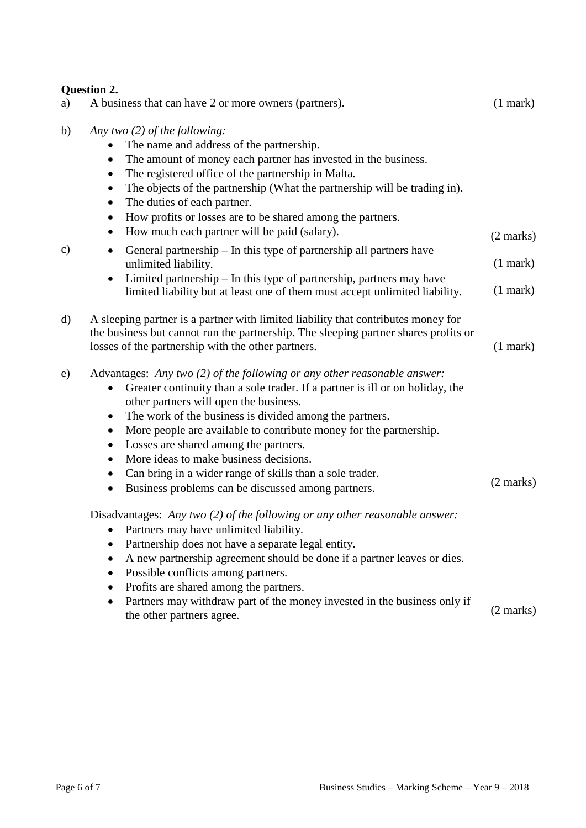|    | <b>Question 2.</b>                                                                                                                                                                                                                                                                                                                                                                                                                                                                                                                                                                                                                                                                                                                                                                                                                                                                                                                                                                                    |                                |
|----|-------------------------------------------------------------------------------------------------------------------------------------------------------------------------------------------------------------------------------------------------------------------------------------------------------------------------------------------------------------------------------------------------------------------------------------------------------------------------------------------------------------------------------------------------------------------------------------------------------------------------------------------------------------------------------------------------------------------------------------------------------------------------------------------------------------------------------------------------------------------------------------------------------------------------------------------------------------------------------------------------------|--------------------------------|
| a) | A business that can have 2 or more owners (partners).                                                                                                                                                                                                                                                                                                                                                                                                                                                                                                                                                                                                                                                                                                                                                                                                                                                                                                                                                 | $(1$ mark $)$                  |
| b) | Any two $(2)$ of the following:<br>The name and address of the partnership.<br>The amount of money each partner has invested in the business.<br>$\bullet$<br>The registered office of the partnership in Malta.<br>$\bullet$<br>The objects of the partnership (What the partnership will be trading in).<br>$\bullet$<br>The duties of each partner.<br>$\bullet$<br>How profits or losses are to be shared among the partners.<br>$\bullet$<br>How much each partner will be paid (salary).<br>$\bullet$                                                                                                                                                                                                                                                                                                                                                                                                                                                                                           | $(2 \text{ marks})$            |
| c) | General partnership $-$ In this type of partnership all partners have<br>$\bullet$<br>unlimited liability.<br>Limited partnership - In this type of partnership, partners may have<br>$\bullet$<br>limited liability but at least one of them must accept unlimited liability.                                                                                                                                                                                                                                                                                                                                                                                                                                                                                                                                                                                                                                                                                                                        | $(1$ mark $)$<br>$(1$ mark $)$ |
| d) | A sleeping partner is a partner with limited liability that contributes money for<br>the business but cannot run the partnership. The sleeping partner shares profits or<br>losses of the partnership with the other partners.                                                                                                                                                                                                                                                                                                                                                                                                                                                                                                                                                                                                                                                                                                                                                                        | $(1$ mark)                     |
| e) | Advantages: Any two (2) of the following or any other reasonable answer:<br>Greater continuity than a sole trader. If a partner is ill or on holiday, the<br>$\bullet$<br>other partners will open the business.<br>The work of the business is divided among the partners.<br>$\bullet$<br>More people are available to contribute money for the partnership.<br>$\bullet$<br>Losses are shared among the partners.<br>$\bullet$<br>More ideas to make business decisions.<br>$\bullet$<br>Can bring in a wider range of skills than a sole trader.<br>$\bullet$<br>Business problems can be discussed among partners.<br>$\bullet$<br>Disadvantages: Any two (2) of the following or any other reasonable answer:<br>Partners may have unlimited liability.<br>Partnership does not have a separate legal entity.<br>A new partnership agreement should be done if a partner leaves or dies.<br>٠<br>Possible conflicts among partners.<br>٠<br>Profits are shared among the partners.<br>$\bullet$ | $(2 \text{ marks})$            |
|    | Partners may withdraw part of the money invested in the business only if<br>the other partners agree.                                                                                                                                                                                                                                                                                                                                                                                                                                                                                                                                                                                                                                                                                                                                                                                                                                                                                                 | $(2 \text{ marks})$            |